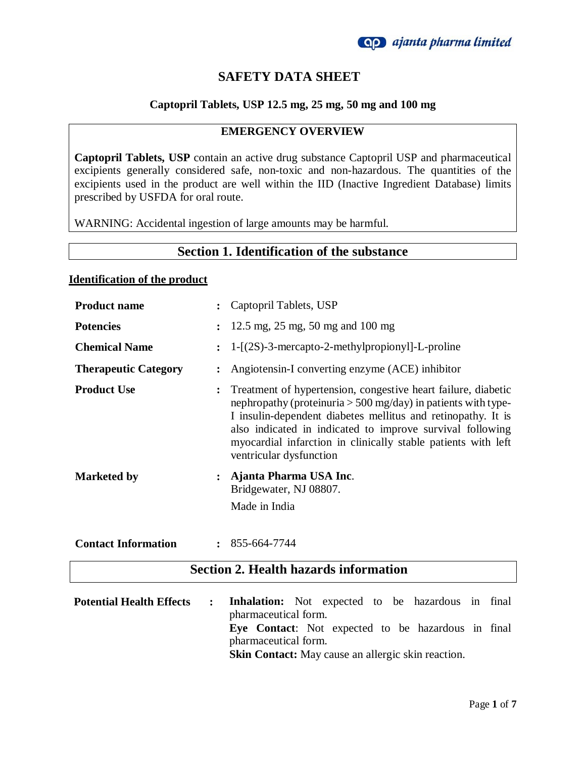

# **SAFETY DATA SHEET**

### **Captopril Tablets, USP 12.5 mg, 25 mg, 50 mg and 100 mg**

#### **EMERGENCY OVERVIEW**

**Captopril Tablets, USP** contain an active drug substance Captopril USP and pharmaceutical excipients generally considered safe, non-toxic and non-hazardous. The quantities of the excipients used in the product are well within the IID (Inactive Ingredient Database) limits prescribed by USFDA for oral route.

WARNING: Accidental ingestion of large amounts may be harmful.

## **Section 1. Identification of the substance**

#### **Identification of the product**

| <b>Product name</b>                          | $\ddot{\cdot}$ | Captopril Tablets, USP                                                                                                                                                                                                                                                                                                                                    |
|----------------------------------------------|----------------|-----------------------------------------------------------------------------------------------------------------------------------------------------------------------------------------------------------------------------------------------------------------------------------------------------------------------------------------------------------|
| <b>Potencies</b>                             |                | 12.5 mg, $25 \text{ mg}$ , $50 \text{ mg}$ and $100 \text{ mg}$                                                                                                                                                                                                                                                                                           |
| <b>Chemical Name</b>                         |                | $1 - [(2S) - 3 -$ mercapto-2-methylpropionyl-L-proline                                                                                                                                                                                                                                                                                                    |
| <b>Therapeutic Category</b>                  |                | Angiotensin-I converting enzyme (ACE) inhibitor                                                                                                                                                                                                                                                                                                           |
| <b>Product Use</b>                           |                | Treatment of hypertension, congestive heart failure, diabetic<br>nephropathy (proteinuria $> 500$ mg/day) in patients with type-<br>I insulin-dependent diabetes mellitus and retinopathy. It is<br>also indicated in indicated to improve survival following<br>myocardial infarction in clinically stable patients with left<br>ventricular dysfunction |
| <b>Marketed by</b>                           |                | Ajanta Pharma USA Inc.<br>Bridgewater, NJ 08807.                                                                                                                                                                                                                                                                                                          |
|                                              |                | Made in India                                                                                                                                                                                                                                                                                                                                             |
| <b>Contact Information</b>                   | $\ddot{\cdot}$ | 855-664-7744                                                                                                                                                                                                                                                                                                                                              |
| <b>Section 2. Health hazards information</b> |                |                                                                                                                                                                                                                                                                                                                                                           |
| <b>Potential Health Effects</b>              | :              | <b>Inhalation:</b> Not expected to be hazardous in final<br>pharmaceutical form.                                                                                                                                                                                                                                                                          |
|                                              |                | <b>Exa</b> Contact: Not expected to be here we in final                                                                                                                                                                                                                                                                                                   |

**Eye Contact**: Not expected to be hazardous in final pharmaceutical form.

**Skin Contact:** May cause an allergic skin reaction.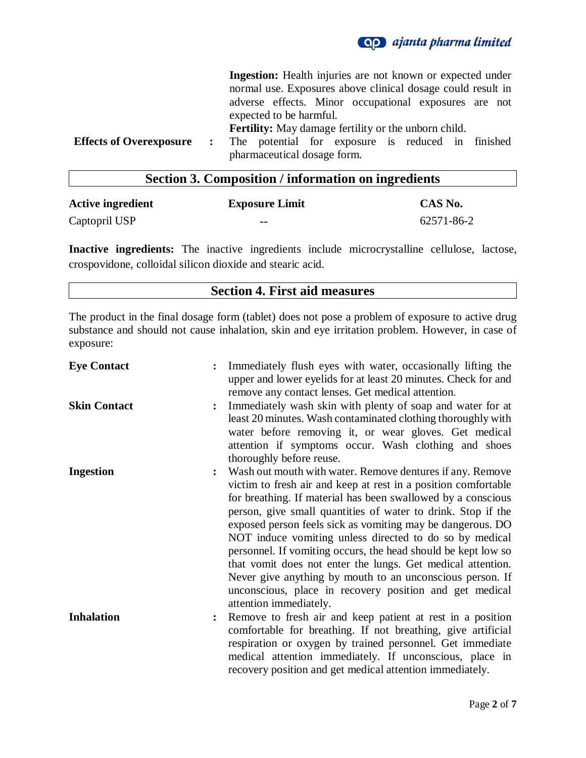

|                                |              | <b>Ingestion:</b> Health injuries are not known or expected under |
|--------------------------------|--------------|-------------------------------------------------------------------|
|                                |              | normal use. Exposures above clinical dosage could result in       |
|                                |              | adverse effects. Minor occupational exposures are not             |
|                                |              | expected to be harmful.                                           |
|                                |              | <b>Fertility:</b> May damage fertility or the unborn child.       |
| <b>Effects of Overexposure</b> | $\mathbf{r}$ | The potential for exposure is reduced in finished                 |
|                                |              | pharmaceutical dosage form.                                       |

## **Section 3. Composition / information on ingredients**

| <b>Active ingredient</b> | <b>Exposure Limit</b> | CAS No.    |
|--------------------------|-----------------------|------------|
| Captopril USP            | --                    | 62571-86-2 |

**Inactive ingredients:** The inactive ingredients include microcrystalline cellulose, lactose, crospovidone, colloidal silicon dioxide and stearic acid.

### **Section 4. First aid measures**

The product in the final dosage form (tablet) does not pose a problem of exposure to active drug substance and should not cause inhalation, skin and eye irritation problem. However, in case of exposure:

| <b>Eye Contact</b>  |                | Immediately flush eyes with water, occasionally lifting the<br>upper and lower eyelids for at least 20 minutes. Check for and<br>remove any contact lenses. Get medical attention.                                                                                                                                                                                                                                                                                                                                                                                                                                                                                     |
|---------------------|----------------|------------------------------------------------------------------------------------------------------------------------------------------------------------------------------------------------------------------------------------------------------------------------------------------------------------------------------------------------------------------------------------------------------------------------------------------------------------------------------------------------------------------------------------------------------------------------------------------------------------------------------------------------------------------------|
| <b>Skin Contact</b> | $\ddot{\cdot}$ | Immediately wash skin with plenty of soap and water for at<br>least 20 minutes. Wash contaminated clothing thoroughly with<br>water before removing it, or wear gloves. Get medical<br>attention if symptoms occur. Wash clothing and shoes<br>thoroughly before reuse.                                                                                                                                                                                                                                                                                                                                                                                                |
| <b>Ingestion</b>    | $\ddot{\cdot}$ | Wash out mouth with water. Remove dentures if any. Remove<br>victim to fresh air and keep at rest in a position comfortable<br>for breathing. If material has been swallowed by a conscious<br>person, give small quantities of water to drink. Stop if the<br>exposed person feels sick as vomiting may be dangerous. DO<br>NOT induce vomiting unless directed to do so by medical<br>personnel. If vomiting occurs, the head should be kept low so<br>that vomit does not enter the lungs. Get medical attention.<br>Never give anything by mouth to an unconscious person. If<br>unconscious, place in recovery position and get medical<br>attention immediately. |
| <b>Inhalation</b>   | $\ddot{\cdot}$ | Remove to fresh air and keep patient at rest in a position<br>comfortable for breathing. If not breathing, give artificial<br>respiration or oxygen by trained personnel. Get immediate<br>medical attention immediately. If unconscious, place in<br>recovery position and get medical attention immediately.                                                                                                                                                                                                                                                                                                                                                         |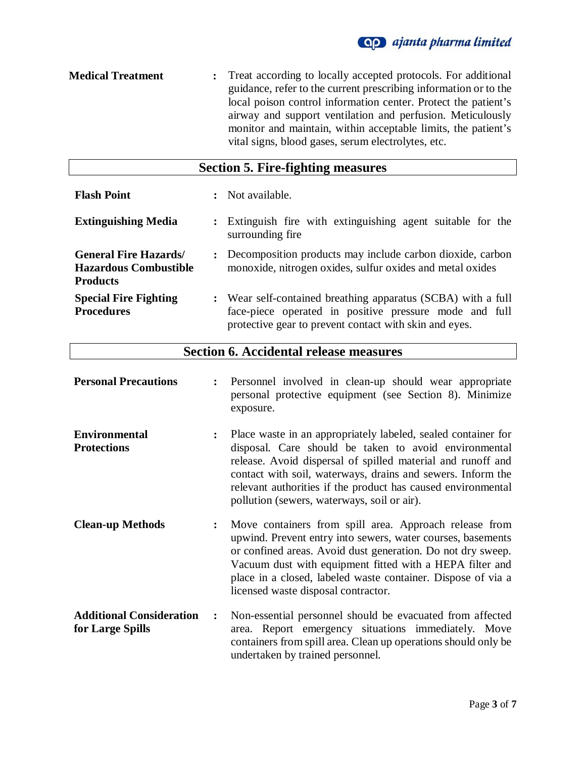

**Medical Treatment :** Treat according to locally accepted protocols. For additional guidance, refer to the current prescribing information or to the local poison control information center. Protect the patient's airway and support ventilation and perfusion. Meticulously monitor and maintain, within acceptable limits, the patient's vital signs, blood gases, serum electrolytes, etc.

| <b>Section 5. Fire-fighting measures</b>                                       |                      |                                                                                                                                                                                  |  |
|--------------------------------------------------------------------------------|----------------------|----------------------------------------------------------------------------------------------------------------------------------------------------------------------------------|--|
| <b>Flash Point</b>                                                             | $\ddot{\cdot}$       | Not available.                                                                                                                                                                   |  |
| <b>Extinguishing Media</b>                                                     | $\ddot{\phantom{a}}$ | Extinguish fire with extinguishing agent suitable for the<br>surrounding fire                                                                                                    |  |
| <b>General Fire Hazards</b><br><b>Hazardous Combustible</b><br><b>Products</b> | $\ddot{\phantom{a}}$ | Decomposition products may include carbon dioxide, carbon<br>monoxide, nitrogen oxides, sulfur oxides and metal oxides                                                           |  |
| <b>Special Fire Fighting</b><br><b>Procedures</b>                              |                      | : Wear self-contained breathing apparatus (SCBA) with a full<br>face-piece operated in positive pressure mode and full<br>protective gear to prevent contact with skin and eyes. |  |

## **Section 6. Accidental release measures**

| <b>Personal Precautions</b>                         |                | Personnel involved in clean-up should wear appropriate<br>personal protective equipment (see Section 8). Minimize<br>exposure.                                                                                                                                                                                                                                      |
|-----------------------------------------------------|----------------|---------------------------------------------------------------------------------------------------------------------------------------------------------------------------------------------------------------------------------------------------------------------------------------------------------------------------------------------------------------------|
| <b>Environmental</b><br><b>Protections</b>          | $\ddot{\cdot}$ | Place waste in an appropriately labeled, sealed container for<br>disposal. Care should be taken to avoid environmental<br>release. Avoid dispersal of spilled material and runoff and<br>contact with soil, waterways, drains and sewers. Inform the<br>relevant authorities if the product has caused environmental<br>pollution (sewers, waterways, soil or air). |
| <b>Clean-up Methods</b>                             | $\ddot{\cdot}$ | Move containers from spill area. Approach release from<br>upwind. Prevent entry into sewers, water courses, basements<br>or confined areas. Avoid dust generation. Do not dry sweep.<br>Vacuum dust with equipment fitted with a HEPA filter and<br>place in a closed, labeled waste container. Dispose of via a<br>licensed waste disposal contractor.             |
| <b>Additional Consideration</b><br>for Large Spills | $\ddot{\cdot}$ | Non-essential personnel should be evacuated from affected<br>area. Report emergency situations immediately. Move<br>containers from spill area. Clean up operations should only be<br>undertaken by trained personnel.                                                                                                                                              |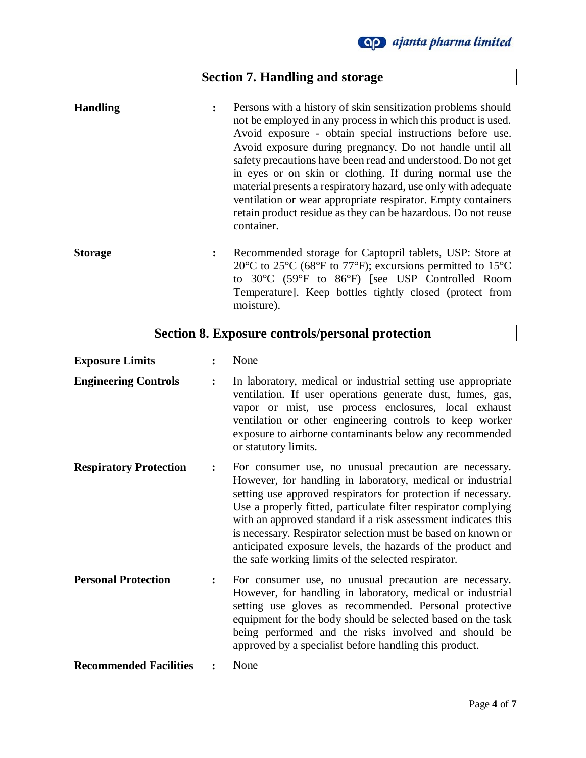# **Section 7. Handling and storage**

| <b>Handling</b> | : | Persons with a history of skin sensitization problems should<br>not be employed in any process in which this product is used.<br>Avoid exposure - obtain special instructions before use.<br>Avoid exposure during pregnancy. Do not handle until all<br>safety precautions have been read and understood. Do not get<br>in eyes or on skin or clothing. If during normal use the<br>material presents a respiratory hazard, use only with adequate<br>ventilation or wear appropriate respirator. Empty containers<br>retain product residue as they can be hazardous. Do not reuse<br>container. |
|-----------------|---|----------------------------------------------------------------------------------------------------------------------------------------------------------------------------------------------------------------------------------------------------------------------------------------------------------------------------------------------------------------------------------------------------------------------------------------------------------------------------------------------------------------------------------------------------------------------------------------------------|
| <b>Storage</b>  | ፡ | Recommended storage for Captopril tablets, USP: Store at<br>20 $\rm{^{\circ}C}$ to 25 $\rm{^{\circ}C}$ (68 $\rm{^{\circ}F}$ to 77 $\rm{^{\circ}F}$ ); excursions permitted to 15 $\rm{^{\circ}C}$<br>to 30°C (59°F to 86°F) [see USP Controlled Room<br>Temperature]. Keep bottles tightly closed (protect from<br>moisture).                                                                                                                                                                                                                                                                      |

# **Section 8. Exposure controls/personal protection**

| <b>Exposure Limits</b>        |                | None                                                                                                                                                                                                                                                                                                                                                                                                                                                                                                           |
|-------------------------------|----------------|----------------------------------------------------------------------------------------------------------------------------------------------------------------------------------------------------------------------------------------------------------------------------------------------------------------------------------------------------------------------------------------------------------------------------------------------------------------------------------------------------------------|
| <b>Engineering Controls</b>   | $\ddot{\cdot}$ | In laboratory, medical or industrial setting use appropriate<br>ventilation. If user operations generate dust, fumes, gas,<br>vapor or mist, use process enclosures, local exhaust<br>ventilation or other engineering controls to keep worker<br>exposure to airborne contaminants below any recommended<br>or statutory limits.                                                                                                                                                                              |
| <b>Respiratory Protection</b> | $\ddot{\cdot}$ | For consumer use, no unusual precaution are necessary.<br>However, for handling in laboratory, medical or industrial<br>setting use approved respirators for protection if necessary.<br>Use a properly fitted, particulate filter respirator complying<br>with an approved standard if a risk assessment indicates this<br>is necessary. Respirator selection must be based on known or<br>anticipated exposure levels, the hazards of the product and<br>the safe working limits of the selected respirator. |
| <b>Personal Protection</b>    | $\ddot{\cdot}$ | For consumer use, no unusual precaution are necessary.<br>However, for handling in laboratory, medical or industrial<br>setting use gloves as recommended. Personal protective<br>equipment for the body should be selected based on the task<br>being performed and the risks involved and should be<br>approved by a specialist before handling this product.                                                                                                                                                |
| <b>Recommended Facilities</b> |                | None                                                                                                                                                                                                                                                                                                                                                                                                                                                                                                           |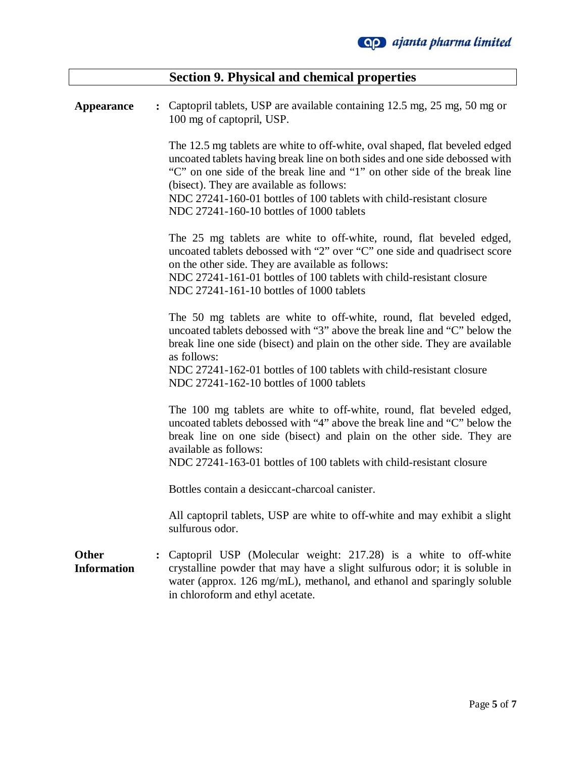|                                    |                | <b>Section 9. Physical and chemical properties</b>                                                                                                                                                                                                                                                                                                                                                      |
|------------------------------------|----------------|---------------------------------------------------------------------------------------------------------------------------------------------------------------------------------------------------------------------------------------------------------------------------------------------------------------------------------------------------------------------------------------------------------|
| <b>Appearance</b>                  |                | Captopril tablets, USP are available containing 12.5 mg, 25 mg, 50 mg or<br>100 mg of captopril, USP.                                                                                                                                                                                                                                                                                                   |
|                                    |                | The 12.5 mg tablets are white to off-white, oval shaped, flat beveled edged<br>uncoated tablets having break line on both sides and one side debossed with<br>"C" on one side of the break line and "1" on other side of the break line<br>(bisect). They are available as follows:<br>NDC 27241-160-01 bottles of 100 tablets with child-resistant closure<br>NDC 27241-160-10 bottles of 1000 tablets |
|                                    |                | The 25 mg tablets are white to off-white, round, flat beveled edged,<br>uncoated tablets debossed with "2" over "C" one side and quadrisect score<br>on the other side. They are available as follows:<br>NDC 27241-161-01 bottles of 100 tablets with child-resistant closure<br>NDC 27241-161-10 bottles of 1000 tablets                                                                              |
|                                    |                | The 50 mg tablets are white to off-white, round, flat beveled edged,<br>uncoated tablets debossed with "3" above the break line and "C" below the<br>break line one side (bisect) and plain on the other side. They are available<br>as follows:<br>NDC 27241-162-01 bottles of 100 tablets with child-resistant closure<br>NDC 27241-162-10 bottles of 1000 tablets                                    |
|                                    |                | The 100 mg tablets are white to off-white, round, flat beveled edged,<br>uncoated tablets debossed with "4" above the break line and "C" below the<br>break line on one side (bisect) and plain on the other side. They are<br>available as follows:<br>NDC 27241-163-01 bottles of 100 tablets with child-resistant closure                                                                            |
|                                    |                | Bottles contain a desiccant-charcoal canister.                                                                                                                                                                                                                                                                                                                                                          |
|                                    |                | All captopril tablets, USP are white to off-white and may exhibit a slight<br>sulfurous odor.                                                                                                                                                                                                                                                                                                           |
| <b>Other</b><br><b>Information</b> | $\ddot{\cdot}$ | Captopril USP (Molecular weight: 217.28) is a white to off-white<br>crystalline powder that may have a slight sulfurous odor; it is soluble in<br>water (approx. 126 mg/mL), methanol, and ethanol and sparingly soluble<br>in chloroform and ethyl acetate.                                                                                                                                            |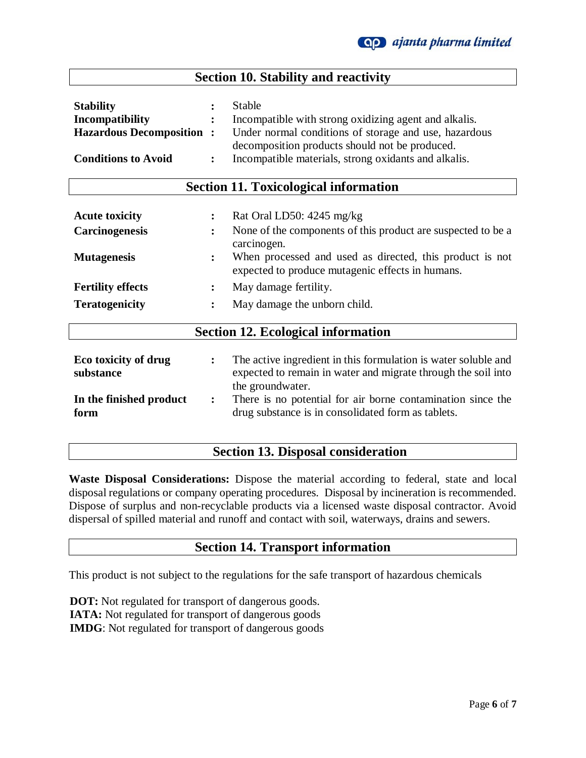## **Section 10. Stability and reactivity**

| <b>Stability</b>                | <b>Stable</b>                                         |
|---------------------------------|-------------------------------------------------------|
| Incompatibility                 | Incompatible with strong oxidizing agent and alkalis. |
| <b>Hazardous Decomposition:</b> | Under normal conditions of storage and use, hazardous |
|                                 | decomposition products should not be produced.        |
| <b>Conditions to Avoid</b>      | Incompatible materials, strong oxidants and alkalis.  |

### **Section 11. Toxicological information**

| <b>Acute toxicity</b><br><b>Carcinogenesis</b> | $\ddot{\phantom{a}}$<br>$\ddot{\cdot}$ | Rat Oral LD50: 4245 mg/kg<br>None of the components of this product are suspected to be a<br>carcinogen.                                            |
|------------------------------------------------|----------------------------------------|-----------------------------------------------------------------------------------------------------------------------------------------------------|
| <b>Mutagenesis</b>                             | $\ddot{\cdot}$                         | When processed and used as directed, this product is not<br>expected to produce mutagenic effects in humans.                                        |
| <b>Fertility effects</b>                       | $\ddot{\cdot}$                         | May damage fertility.                                                                                                                               |
| <b>Teratogenicity</b>                          | $\ddot{\cdot}$                         | May damage the unborn child.                                                                                                                        |
|                                                |                                        | <b>Section 12. Ecological information</b>                                                                                                           |
| Eco toxicity of drug<br>substance              | $\ddot{\phantom{a}}$                   | The active ingredient in this formulation is water soluble and<br>expected to remain in water and migrate through the soil into<br>the groundwater. |
| In the finished product<br>form                | $\ddot{\phantom{a}}$                   | There is no potential for air borne contamination since the<br>drug substance is in consolidated form as tablets.                                   |

## **Section 13. Disposal consideration**

**Waste Disposal Considerations:** Dispose the material according to federal, state and local disposal regulations or company operating procedures. Disposal by incineration is recommended. Dispose of surplus and non-recyclable products via a licensed waste disposal contractor. Avoid dispersal of spilled material and runoff and contact with soil, waterways, drains and sewers.

### **Section 14. Transport information**

This product is not subject to the regulations for the safe transport of hazardous chemicals

 **DOT:** Not regulated for transport of dangerous goods.  **IATA:** Not regulated for transport of dangerous goods  **IMDG**: Not regulated for transport of dangerous goods